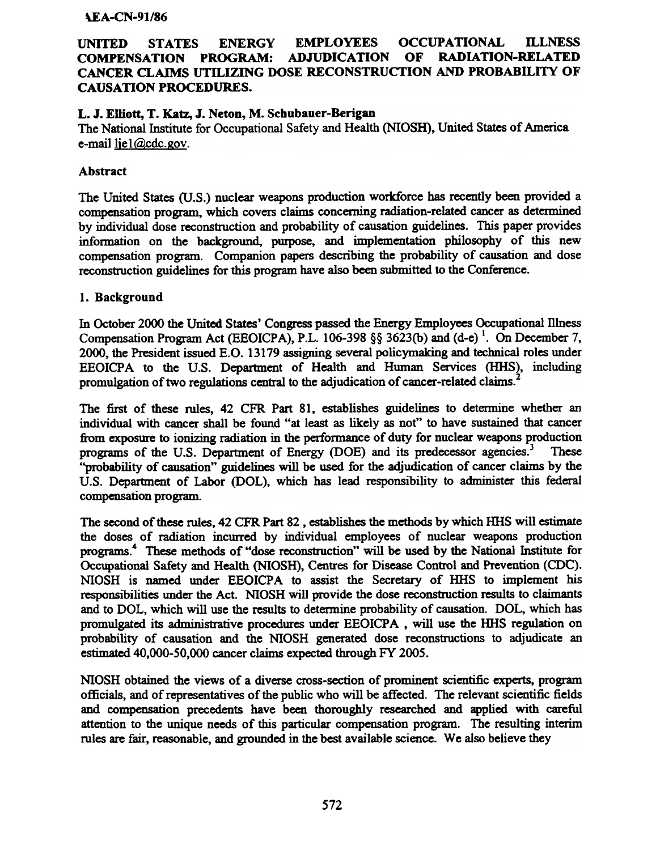#### **AEA-CN-91/86**

# UNITED STATES ENERGY EMPLOYEES OCCUPATIONAL ILLNESS COMPENSATION PROGRAM: ADJUDICATION OF RADIATION-RELATED CANCER CLAIMS UTILIZING DOSE RECONSTRUCTION AND PROBABILITY OF CAUSATION PROCEDURES.

# L. J. Elliott, T. Katz, J. Neton, M. Schubauer-Berigan

The National Institute for Occupational Safety and Health (NIOSH), United States of America, e-mail tiel@cdc.gov.

## Abstract

The United States (U.S.) nuclear weapons production workforce has recently been provided a compensation program, which covers claims concerning radiation-related cancer as determined by individual dose reconstruction and probability of causation guidelines. This paper provides information on the background, purpose, and implementation philosophy of this new compensation program. Companion papers describing the probability of causation and dose reconstruction guidelines for this program have also been submitted to the Conference.

### 1. Background

In October 2000 the United States' Congress passed the Energy Employees Occupational Illness Compensation Program Act (EEOICPA), P.L. 106-398 §§ 3623(b) and (d-e)<sup>1</sup>. On December 7, 2000, the President issued E.O. 13179 assigning several policymaking and technical roles under EEOICPA to the U.S. Department of Health and Human Services (HHS), including promulgation of two regulations central to the adjudication of cancer-related claims.

The first of these roles, 42 CFR Part 81, establishes guidelines to detennine whether an individual with cancer shall be found "at least as likely as not" to have sustained that cancer from exposure to ionizing radiation in the performance of duty for nuclear weapons production programs of the U.S. Department of Energy (DOE) and its predecessor agencies.<sup>3</sup> These "probability of causation" guidelines will be used for the adjudication of cancer claims by the U.S. Department of Labor (DOL), which has lead responsibility to administer this federal compensation program.

The second of these rules. 42 CFR Part 82, establishes the methods by which HHS will estimate the doses of radiation incurred by individual employees of nuclear weapons production programs.<sup>4</sup> These methods of "dose reconstruction" will be used by the National Institute for Occupational Safety and Health (NIOSH), Centres for Disease Control and Prevention (CDC). NIOSH is named under EEOICPA to assist the Secretary of HHS to implement his responsibilities under the Act. NIOSH will provide the dose reconstruction results to claimants and to DOL. which will use the results to detennine probability of causation. DOL. which has promulgated its administrative procedures under EEOICPA, will use the HHS regulation on probability of causation and the NIOSH generated dose reconstructions to adjudicate an estimated 40.000-50.000 cancer claims expected through FY 2005.

NIOSH obtained the views of a diverse cross-section of prominent scientific experts, program officials, and of representatives of the public who will be affected. The relevant scientific fields and compensation precedents have been thoroughly researched and applied with careful attention to the unique needs of this particular compensation program. The resulting interim rules are fair, reasonable, and grounded in the best available science. We also believe they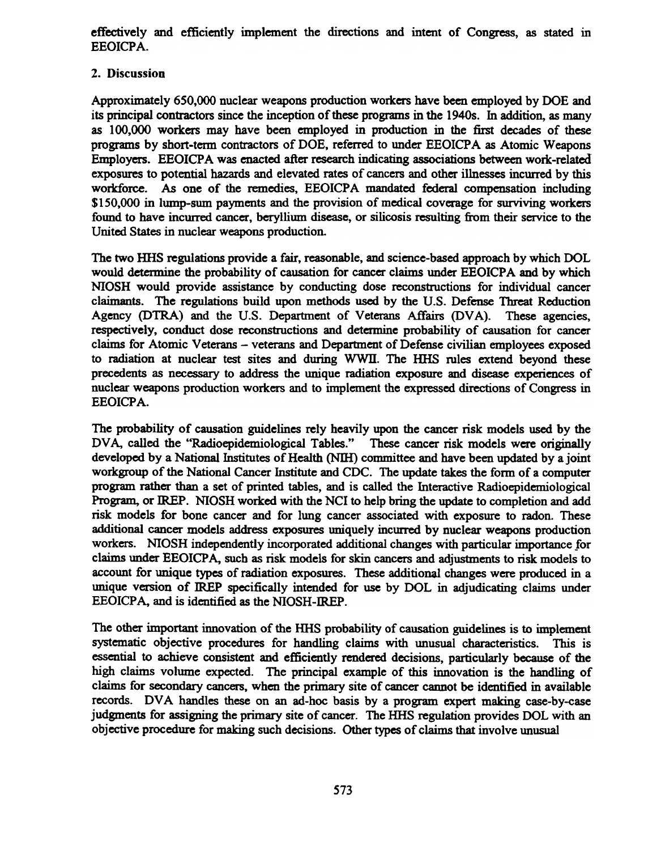effectively and efficiently implement the directions and intent of Congress, as stated in EEOICPA.

# 2. Discussion

Approximately 650,000 nuclear weapons production workers have been employed by DOE and its principal contractors since the inception of these programs in the 19405. In addition, as many as 100,000 workers may have been employed in production in the first decades of these programs by short-term contractors of DOE, referred to under EEOICPA as Atomic Weapons Employers. EEOICPA was enacted after research indicating associations between work-related exposures to potential hazards and elevated rates of cancers and other illnesses incurred by this workforce. As one of the remedies, EEOICPA mandated federal compensation including \$150,000 in lump-sum payments and the provision of medical coverage for surviving workers found to have incurred cancer, beryllium disease, or silicosis resulting from their service to the United States in nuclear weapons production.

The two HHS regulations provide a fair, reasonable, and science-based approach by which DOL would determine the probability of causation for cancer claims under EEOICPA and by which NIOSH would provide assistance by conducting dose reconstructions for individual cancer claimants. The regulations build upon methods used by the U.S. Defense Threat Reduction Agency (DTRA) and the U.S. Department of Veterans Affairs (DVA). These agencies, respectively, conduct dose reconstructions and detennine probability of causation for cancer claims for Atomic Veterans - veterans and Department of Defense civilian employees exposed to radiation at nuclear test sites and during wwll. The IffiS rules extend beyond these precedents as necessary to address the unique radiation exposure and disease experiences of nuclear weapons production workers and to implement the expressed directions of Congress in EEOICPA.

The probability of causation guidelines rely heavily upon the cancer risk models used by the DVA, called the "Radioepidemiological Tables." These cancer risk models were originally developed by a National Institutes of Health (NIH) committee and have been updated by a joint workgroup of the National Cancer Institute and CDC. The update takes the fonn of a computer program rather than a set of printed tables, and is called the Interactive Radioepidemiological Program, or IREP. NIOSH worked with the NCI to help bring the update to completion and add risk models for bone cancer and for lung cancer associated with exposure to radon. These additional cancer models address exposures uniquely incuned by nuclear weapons production workers. NIOSH independently incorporated additional changes with particular importance for claims under EEOICP A, such as risk models for skin cancers and adjustments to risk models to account for unique types of radiation exposures. These additional changes were produced in a unique version of IREP specifically intended for use by DOL in adjudicating claims under EEOICPA, and is identified as the NIOSH-IREP.

The other important innovation of the HHS probability of causation guidelines is to implement systematic objective procedures for handling claims with unusual characteristics. This is essential to achieve consistent and efficiently rendered decisions, particularly because of the high claims volume expected. The principal example of this innovation is the handling of claims for secondary cancers, when the primary site of cancer cannot be identified in available records. DVA handles these on an ad-hoc basis by a program expert making case-by-case judgments for assigning the primary site of cancer. The HIlS regulation provides DOL with an objective procedure for making such decisions. Other types of claims that involve unusual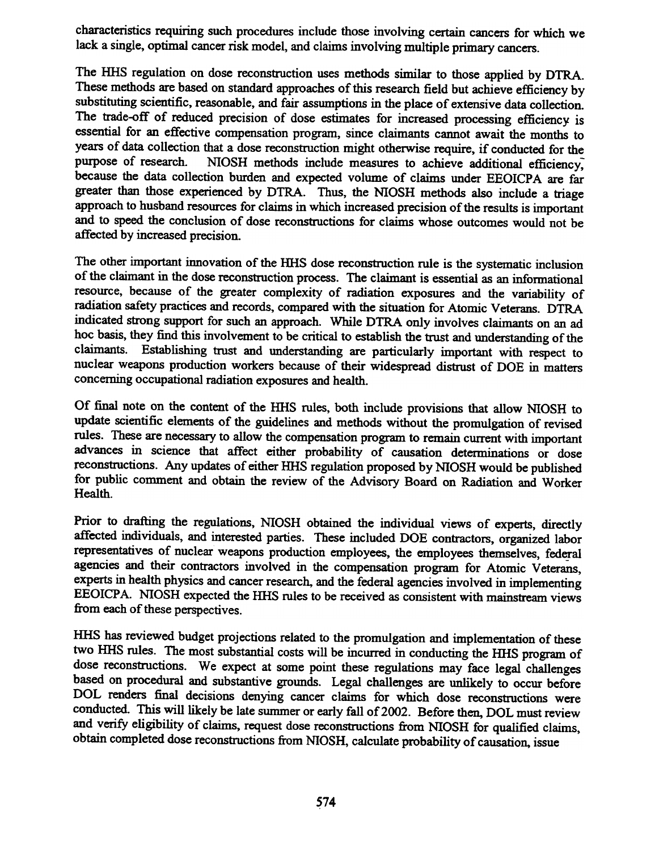characteristics requiring such procedures include those involving certain cancers for which we lack a single, optimal cancer risk model, and claims involving multiple primary cancers.

The HHS regulation on dose reconstruction uses methods similar to those applied by DTRA. These methods are based on standard approaches of this research field but achieve efficiency by substituting scientific, reasonable, and fair assumptions in the place of extensive data collection. The trade-off of reduced precision of dose estimates for increased processing efficiency is essential for an effective compensation program, since claimants cannot await the months to years of data collection that a dose reconstruction might otherwise require, if conducted for the purpose of research. NIOSH methods include measures to achieve additional efficiency. because the data collection burden and expected volume of claims under EEOICPA are far greater than those experienced by DTRA. Thus, the NIOSH methods also include a triage approach to husband resources for claims in which increased precision of the results is important and to speed the conclusion of dose reconstructions for claims whose outcomes would not be affected by increased precision.

The other important innovation of the HHS dose reconstruction rule is the systematic inclusion of the claimant in the dose reconstruction process. The claimant is essential as an informational resource, because of the greater complexity of radiation exposures and the variability of radiation safety practices and records, compared with the situation for Atomic Veterans. DTRA indicated strong support for such an approach. While DTRA only involves claimants on an ad hoc basis, they find this involvement to be critical to establish the trust and understanding of the claimants. Establishing trust and understanding are particularly important with respect to nuclear weapons production workers because of their widespread distrust of DOE in matters concerning occupational radiation exposures and health.

Of final note on the content of the HHS rules, both include provisions that allow NIOSH to update scientific elements of the guidelines and methods without the promulgation of revised rules. These are necessary to allow the compensation program to remain current with important advances in science that affect either probability of causation detenninations or dose reconstructions. Any updates of either HHS regulation proposed by NIOSH would be published for public comment and obtain the review of the Advisory Board on Radiation and Worker Health.

Prior to drafting the regulations, NIOSH obtained the individual views of experts, directly affected individuals, and interested parties. These included DOE contractors, organized labor representatives of nuclear weapons production employees, the employees themselves, federal agencies and their contractors involved in the compensation program for Atomic Veterans, experts in health physics and cancer research, and the federal agencies involved in implementing EEOICPA. NIOSH expected the HHS rules to be received as consistent with mainstream views from each of these perspectives.

IlliS has reviewed budget projections related to the promulgation and implementation of these two HHS rules. The most substantial costs will be incurred in conducting the HHS program of dose reconstructions. We expect at some point these regulations may face legal challenges based on procedural and substantive grounds. Legal challenges are unlikely to occur before DOL renders final decisions denying cancer claims for which dose reconstructions were conducted. This will likely be late summer or early fall of 2002. Before then, DOL must review and verify eligibility of claims, request dose reconstructions from NIOSH for qualified claims, obtain completed dose reconstructions from NIOSH, calculate probability of causation, issue